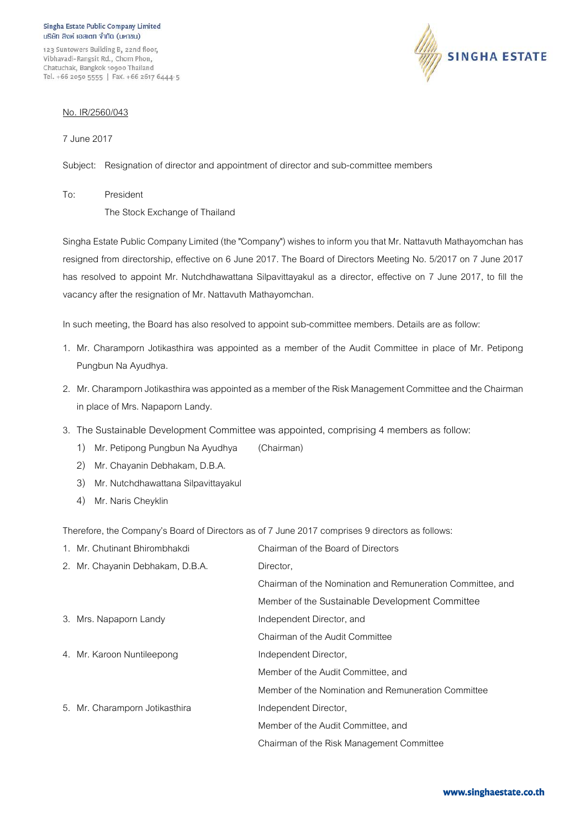123 Suntowers Building B, 22nd floor, Vibhavadi-Rangsit Rd., Chom Phon, Chatuchak, Bangkok 10900 Thailand Tel. +66 2050 5555 | Fax. +66 2617 6444-5



## No. IR/2560/043

7 June 2017

Subject: Resignation of director and appointment of director and sub-committee members

To: President

The Stock Exchange of Thailand

Singha Estate Public Company Limited (the "Company") wishes to inform you that Mr. Nattavuth Mathayomchan has resigned from directorship, effective on 6 June 2017. The Board of Directors Meeting No. 5/2017 on 7 June 2017 has resolved to appoint Mr. Nutchdhawattana Silpavittayakul as a director, effective on 7 June 2017, to fill the vacancy after the resignation of Mr. Nattavuth Mathayomchan.

In such meeting, the Board has also resolved to appoint sub-committee members. Details are as follow:

- 1. Mr. Charamporn Jotikasthira was appointed as a member of the Audit Committee in place of Mr. Petipong Pungbun Na Ayudhya.
- 2. Mr. Charamporn Jotikasthira was appointed as a member of the Risk Management Committee and the Chairman in place of Mrs. Napaporn Landy.
- 3. The Sustainable Development Committee was appointed, comprising 4 members as follow:
	- 1) Mr. Petipong Pungbun Na Ayudhya (Chairman)
	- 2) Mr. Chayanin Debhakam, D.B.A.
	- 3) Mr. Nutchdhawattana Silpavittayakul
	- 4) Mr. Naris Cheyklin

Therefore, the Company's Board of Directors as of 7 June 2017 comprises 9 directors as follows:

| 1. Mr. Chutinant Bhirombhakdi    | Chairman of the Board of Directors                         |
|----------------------------------|------------------------------------------------------------|
| 2. Mr. Chayanin Debhakam, D.B.A. | Director,                                                  |
|                                  | Chairman of the Nomination and Remuneration Committee, and |
|                                  | Member of the Sustainable Development Committee            |
| 3. Mrs. Napaporn Landy           | Independent Director, and                                  |
|                                  | Chairman of the Audit Committee                            |
| 4. Mr. Karoon Nuntileepong       | Independent Director,                                      |
|                                  | Member of the Audit Committee, and                         |
|                                  | Member of the Nomination and Remuneration Committee        |
| 5. Mr. Charamporn Jotikasthira   | Independent Director,                                      |
|                                  | Member of the Audit Committee, and                         |
|                                  | Chairman of the Risk Management Committee                  |